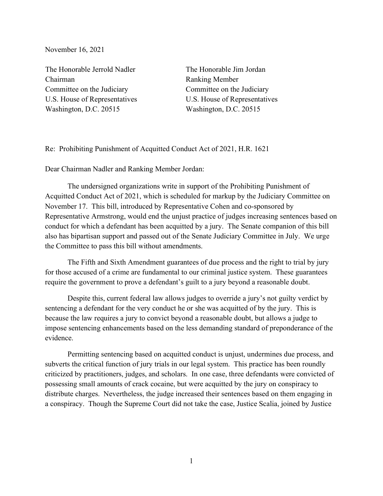November 16, 2021

The Honorable Jerrold Nadler Chairman Committee on the Judiciary U.S. House of Representatives Washington, D.C. 20515

The Honorable Jim Jordan Ranking Member Committee on the Judiciary U.S. House of Representatives Washington, D.C. 20515

Re: Prohibiting Punishment of Acquitted Conduct Act of 2021, H.R. 1621

Dear Chairman Nadler and Ranking Member Jordan:

 The undersigned organizations write in support of the Prohibiting Punishment of Acquitted Conduct Act of 2021, which is scheduled for markup by the Judiciary Committee on November 17. This bill, introduced by Representative Cohen and co-sponsored by Representative Armstrong, would end the unjust practice of judges increasing sentences based on conduct for which a defendant has been acquitted by a jury. The Senate companion of this bill also has bipartisan support and passed out of the Senate Judiciary Committee in July. We urge the Committee to pass this bill without amendments.

 The Fifth and Sixth Amendment guarantees of due process and the right to trial by jury for those accused of a crime are fundamental to our criminal justice system. These guarantees require the government to prove a defendant's guilt to a jury beyond a reasonable doubt.

 Despite this, current federal law allows judges to override a jury's not guilty verdict by sentencing a defendant for the very conduct he or she was acquitted of by the jury. This is because the law requires a jury to convict beyond a reasonable doubt, but allows a judge to impose sentencing enhancements based on the less demanding standard of preponderance of the evidence.

 Permitting sentencing based on acquitted conduct is unjust, undermines due process, and subverts the critical function of jury trials in our legal system. This practice has been roundly criticized by practitioners, judges, and scholars. In one case, three defendants were convicted of possessing small amounts of crack cocaine, but were acquitted by the jury on conspiracy to distribute charges. Nevertheless, the judge increased their sentences based on them engaging in a conspiracy. Though the Supreme Court did not take the case, Justice Scalia, joined by Justice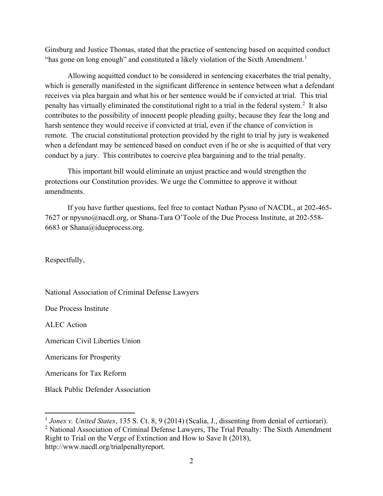Ginsburg and Justice Thomas, stated that the practice of sentencing based on acquitted conduct "has gone on long enough" and constituted a likely violation of the Sixth Amendment.<sup>1</sup>

 Allowing acquitted conduct to be considered in sentencing exacerbates the trial penalty, which is generally manifested in the significant difference in sentence between what a defendant receives via plea bargain and what his or her sentence would be if convicted at trial. This trial penalty has virtually eliminated the constitutional right to a trial in the federal system.<sup>2</sup> It also contributes to the possibility of innocent people pleading guilty, because they fear the long and harsh sentence they would receive if convicted at trial, even if the chance of conviction is remote. The crucial constitutional protection provided by the right to trial by jury is weakened when a defendant may be sentenced based on conduct even if he or she is acquitted of that very conduct by a jury. This contributes to coercive plea bargaining and to the trial penalty.

 This important bill would eliminate an unjust practice and would strengthen the protections our Constitution provides. We urge the Committee to approve it without amendments.

If you have further questions, feel free to contact Nathan Pysno of NACDL, at 202-465- 7627 or npysno@nacdl.org, or Shana-Tara O'Toole of the Due Process Institute, at 202-558- 6683 or Shana@idueprocess.org.

Respectfully,

National Association of Criminal Defense Lawyers

Due Process Institute

ALEC Action

American Civil Liberties Union

Americans for Prosperity

Americans for Tax Reform

Black Public Defender Association

<sup>2</sup> National Association of Criminal Defense Lawyers, The Trial Penalty: The Sixth Amendment Right to Trial on the Verge of Extinction and How to Save It (2018), http://www.nacdl.org/trialpenaltyreport.

 $1$  Jones v. United States, 135 S. Ct. 8, 9 (2014) (Scalia, J., dissenting from denial of certiorari).